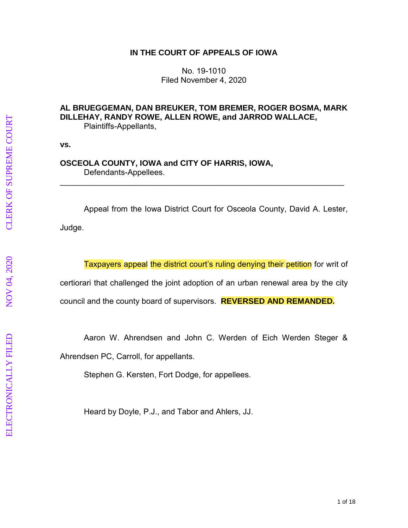## **IN THE COURT OF APPEALS OF IOWA**

No. 19 -1010 Filed November 4, 2020

# **AL BRUEGGEMAN, DAN BREUKER, TOM BREMER, ROGER BOSMA, MARK DILLEHAY, RANDY ROWE, ALLEN ROWE, and JARROD WALLACE ,** Plaintiff s -Appellants ,

**vs.**

## **OSCEOLA COUNTY, IOWA and CITY OF HARRIS, IOWA ,** Defendant s -Appellees .

Appeal from the Iowa District Court for Osceola County, David A. Lester, Judge.

\_\_\_\_\_\_\_\_\_\_\_\_\_\_\_\_\_\_\_\_\_\_\_\_\_\_\_\_\_\_\_\_\_\_\_\_\_\_\_\_\_\_\_\_\_\_\_\_\_\_\_\_\_\_\_\_\_\_\_\_\_\_\_\_

Taxpayers appeal the district court's ruling denying their petition for writ of certiorari that challenged the joint adoption of a n urban renewal area by the city

council and the county board of supervisors. **REVERSED AND REMANDED.**

Aaron W. Ahrendsen and John C. Werden of Eich Werden Steger &

Ahrendsen PC, Carroll, for appellant s.

Stephen G. Kersten, Fort Dodge, for appellee s.

Heard by Doyle, P.J., and Tabor and Ahlers, JJ.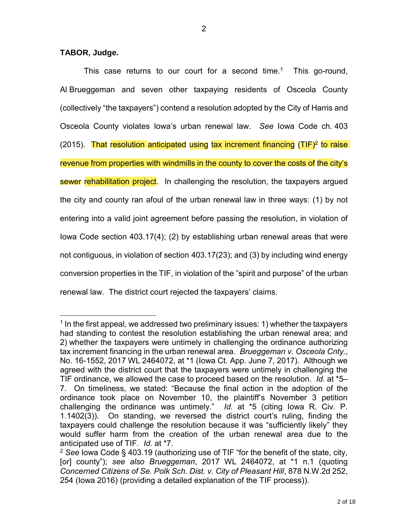2

#### **TABOR, Judge.**

 $\overline{a}$ 

This case returns to our court for a second time. 1 This go-round, Al Brueggeman and seven other taxpaying residents of Osceola County (collectively "the taxpayers") contend a resolution adopted by the City of Harris and Osceola County violates Iowa's urban renewal law. *See* Iowa Code ch. 403 (2015). That resolution anticipated using tax increment financing (TIF)<sup>2</sup> to raise revenue from properties with windmills in the county to cover the costs of the city's sewer rehabilitation project. In challenging the resolution, the taxpayers argued the city and county ran afoul of the urban renewal law in three ways: (1) by not entering into a valid joint agreement before passing the resolution, in violation of Iowa Code section 403.17(4); (2) by establishing urban renewal areas that were not contiguous, in violation of section 403.17(23); and (3) by including wind energy conversion properties in the TIF, in violation of the "spirit and purpose" of the urban renewal law. The district court rejected the taxpayers' claims.

 $<sup>1</sup>$  In the first appeal, we addressed two preliminary issues: 1) whether the taxpayers</sup> had standing to contest the resolution establishing the urban renewal area; and 2) whether the taxpayers were untimely in challenging the ordinance authorizing tax increment financing in the urban renewal area. *Brueggeman v. Osceola Cnty.*, No. 16-1552, 2017 WL 2464072, at \*1 (Iowa Ct. App. June 7, 2017). Although we agreed with the district court that the taxpayers were untimely in challenging the TIF ordinance, we allowed the case to proceed based on the resolution. *Id.* at \*5– 7. On timeliness, we stated: "Because the final action in the adoption of the ordinance took place on November 10, the plaintiff's November 3 petition challenging the ordinance was untimely." *Id.* at \*5 (citing Iowa R. Civ. P. 1.1402(3)). On standing, we reversed the district court's ruling, finding the taxpayers could challenge the resolution because it was "sufficiently likely" they would suffer harm from the creation of the urban renewal area due to the anticipated use of TIF. *Id.* at \*7.

<sup>2</sup> *See* Iowa Code § 403.19 (authorizing use of TIF "for the benefit of the state, city, [or] county"); *see also Brueggeman*, 2017 WL 2464072, at \*1 n.1 (quoting *Concerned Citizens of Se. Polk Sch. Dist. v. City of Pleasant Hill*, 878 N.W.2d 252, 254 (Iowa 2016) (providing a detailed explanation of the TIF process)).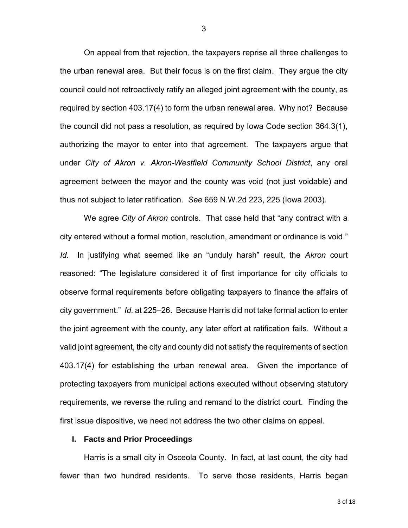On appeal from that rejection, the taxpayers reprise all three challenges to the urban renewal area. But their focus is on the first claim. They argue the city council could not retroactively ratify an alleged joint agreement with the county, as required by section 403.17(4) to form the urban renewal area. Why not? Because the council did not pass a resolution, as required by Iowa Code section 364.3(1), authorizing the mayor to enter into that agreement. The taxpayers argue that under *City of Akron v. Akron-Westfield Community School District*, any oral agreement between the mayor and the county was void (not just voidable) and thus not subject to later ratification. *See* 659 N.W.2d 223, 225 (Iowa 2003).

We agree *City of Akron* controls. That case held that "any contract with a city entered without a formal motion, resolution, amendment or ordinance is void." *Id.* In justifying what seemed like an "unduly harsh" result, the *Akron* court reasoned: "The legislature considered it of first importance for city officials to observe formal requirements before obligating taxpayers to finance the affairs of city government." *Id.* at 225–26. Because Harris did not take formal action to enter the joint agreement with the county, any later effort at ratification fails. Without a valid joint agreement, the city and county did not satisfy the requirements of section 403.17(4) for establishing the urban renewal area. Given the importance of protecting taxpayers from municipal actions executed without observing statutory requirements, we reverse the ruling and remand to the district court. Finding the first issue dispositive, we need not address the two other claims on appeal.

### **I. Facts and Prior Proceedings**

Harris is a small city in Osceola County. In fact, at last count, the city had fewer than two hundred residents. To serve those residents, Harris began

3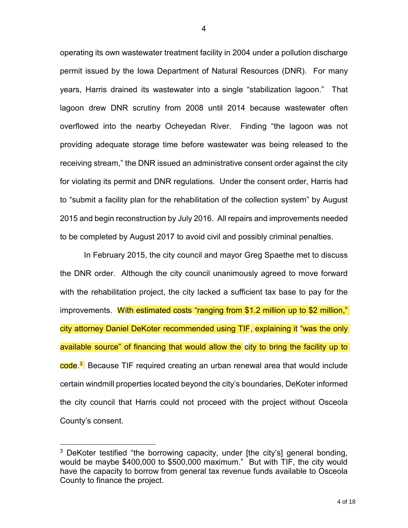operating its own wastewater treatment facility in 2004 under a pollution discharge permit issued by the Iowa Department of Natural Resources (DNR). For many years, Harris drained its wastewater into a single "stabilization lagoon." That lagoon drew DNR scrutiny from 2008 until 2014 because wastewater often overflowed into the nearby Ocheyedan River. Finding "the lagoon was not providing adequate storage time before wastewater was being released to the receiving stream," the DNR issued an administrative consent order against the city for violating its permit and DNR regulations. Under the consent order, Harris had to "submit a facility plan for the rehabilitation of the collection system" by August 2015 and begin reconstruction by July 2016. All repairs and improvements needed to be completed by August 2017 to avoid civil and possibly criminal penalties.

In February 2015, the city council and mayor Greg Spaethe met to discuss the DNR order. Although the city council unanimously agreed to move forward with the rehabilitation project, the city lacked a sufficient tax base to pay for the improvements. With estimated costs "ranging from \$1.2 million up to \$2 million," city attorney Daniel DeKoter recommended using TIF, explaining it "was the only available source" of financing that would allow the city to bring the facility up to <mark>code.<sup>3</sup>.</mark> Because TIF required creating an urban renewal area that would include certain windmill properties located beyond the city's boundaries, DeKoter informed the city council that Harris could not proceed with the project without Osceola County's consent.

<sup>&</sup>lt;sup>3</sup> DeKoter testified "the borrowing capacity, under [the city's] general bonding, would be maybe \$400,000 to \$500,000 maximum." But with TIF, the city would have the capacity to borrow from general tax revenue funds available to Osceola County to finance the project.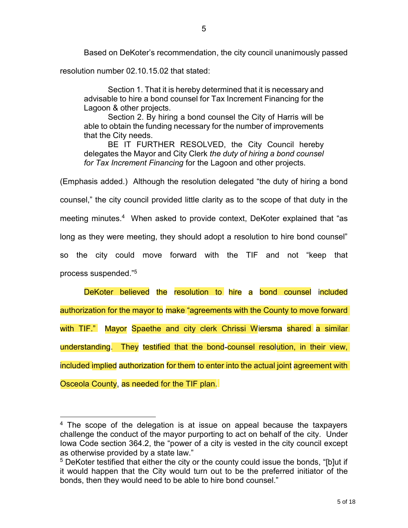Based on DeKoter's recommendation, the city council unanimously passed resolution number 02.10.15.02 that stated:

Section 1. That it is hereby determined that it is necessary and advisable to hire a bond counsel for Tax Increment Financing for the Lagoon & other projects.

Section 2. By hiring a bond counsel the City of Harris will be able to obtain the funding necessary for the number of improvements that the City needs.

BE IT FURTHER RESOLVED, the City Council hereby delegates the Mayor and City Clerk *the duty of hiring a bond counsel for Tax Increment Financing* for the Lagoon and other projects.

(Emphasis added.) Although the resolution delegated "the duty of hiring a bond counsel," the city council provided little clarity as to the scope of that duty in the meeting minutes.<sup>4</sup> When asked to provide context, DeKoter explained that "as long as they were meeting, they should adopt a resolution to hire bond counsel" so the city could move forward with the TIF and not "keep that process suspended."<sup>5</sup>

DeKoter believed the resolution to hire a bond counsel included authorization for the mayor to make "agreements with the County to move forward with TIF." Mayor Spaethe and city clerk Chrissi Wiersma shared a similar understanding. They testified that the bond-counsel resolution, in their view, included implied authorization for them to enter into the actual joint agreement with Osceola County, as needed for the TIF plan.

 $4$  The scope of the delegation is at issue on appeal because the taxpayers challenge the conduct of the mayor purporting to act on behalf of the city. Under Iowa Code section 364.2, the "power of a city is vested in the city council except as otherwise provided by a state law."

<sup>&</sup>lt;sup>5</sup> DeKoter testified that either the city or the county could issue the bonds, "[b]ut if it would happen that the City would turn out to be the preferred initiator of the bonds, then they would need to be able to hire bond counsel."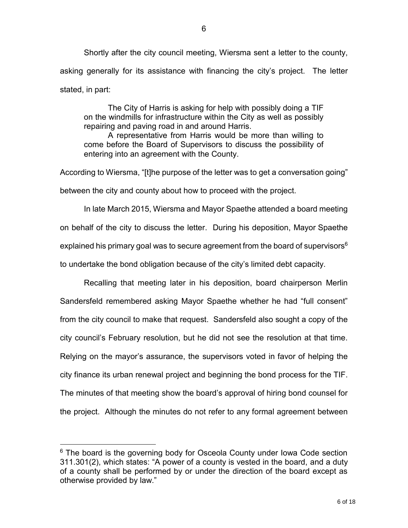Shortly after the city council meeting, Wiersma sent a letter to the county, asking generally for its assistance with financing the city's project. The letter stated, in part:

The City of Harris is asking for help with possibly doing a TIF on the windmills for infrastructure within the City as well as possibly repairing and paving road in and around Harris.

A representative from Harris would be more than willing to come before the Board of Supervisors to discuss the possibility of entering into an agreement with the County.

According to Wiersma, "[t]he purpose of the letter was to get a conversation going" between the city and county about how to proceed with the project.

In late March 2015, Wiersma and Mayor Spaethe attended a board meeting on behalf of the city to discuss the letter. During his deposition, Mayor Spaethe explained his primary goal was to secure agreement from the board of supervisors $6$ to undertake the bond obligation because of the city's limited debt capacity.

Recalling that meeting later in his deposition, board chairperson Merlin Sandersfeld remembered asking Mayor Spaethe whether he had "full consent" from the city council to make that request. Sandersfeld also sought a copy of the city council's February resolution, but he did not see the resolution at that time. Relying on the mayor's assurance, the supervisors voted in favor of helping the city finance its urban renewal project and beginning the bond process for the TIF. The minutes of that meeting show the board's approval of hiring bond counsel for the project. Although the minutes do not refer to any formal agreement between

 $6$  The board is the governing body for Osceola County under lowa Code section 311.301(2), which states: "A power of a county is vested in the board, and a duty of a county shall be performed by or under the direction of the board except as otherwise provided by law."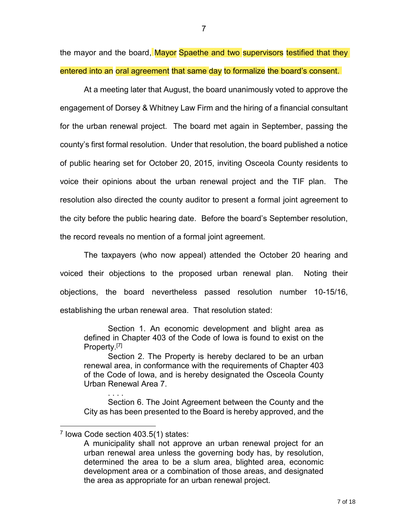the mayor and the board, Mayor Spaethe and two supervisors testified that they entered into an oral agreement that same day to formalize the board's consent.

At a meeting later that August, the board unanimously voted to approve the engagement of Dorsey & Whitney Law Firm and the hiring of a financial consultant for the urban renewal project. The board met again in September, passing the county's first formal resolution. Under that resolution, the board published a notice of public hearing set for October 20, 2015, inviting Osceola County residents to voice their opinions about the urban renewal project and the TIF plan. The resolution also directed the county auditor to present a formal joint agreement to the city before the public hearing date. Before the board's September resolution, the record reveals no mention of a formal joint agreement.

The taxpayers (who now appeal) attended the October 20 hearing and voiced their objections to the proposed urban renewal plan. Noting their objections, the board nevertheless passed resolution number 10-15/16, establishing the urban renewal area. That resolution stated:

Section 1. An economic development and blight area as defined in Chapter 403 of the Code of Iowa is found to exist on the Property.<sup>[7]</sup>

Section 2. The Property is hereby declared to be an urban renewal area, in conformance with the requirements of Chapter 403 of the Code of Iowa, and is hereby designated the Osceola County Urban Renewal Area 7.

. . . . Section 6. The Joint Agreement between the County and the City as has been presented to the Board is hereby approved, and the

 $\overline{a}$ 7 Iowa Code section 403.5(1) states:

A municipality shall not approve an urban renewal project for an urban renewal area unless the governing body has, by resolution, determined the area to be a slum area, blighted area, economic development area or a combination of those areas, and designated the area as appropriate for an urban renewal project.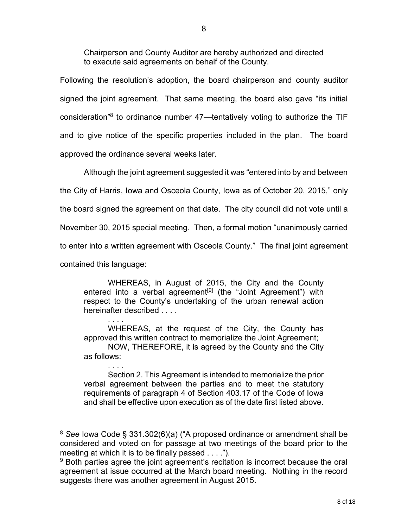Chairperson and County Auditor are hereby authorized and directed to execute said agreements on behalf of the County.

Following the resolution's adoption, the board chairperson and county auditor signed the joint agreement. That same meeting, the board also gave "its initial consideration"<sup>8</sup> to ordinance number 47—tentatively voting to authorize the TIF and to give notice of the specific properties included in the plan. The board approved the ordinance several weeks later.

Although the joint agreement suggested it was "entered into by and between the City of Harris, Iowa and Osceola County, Iowa as of October 20, 2015," only the board signed the agreement on that date. The city council did not vote until a November 30, 2015 special meeting. Then, a formal motion "unanimously carried to enter into a written agreement with Osceola County." The final joint agreement contained this language:

WHEREAS, in August of 2015, the City and the County entered into a verbal agreement<sup>[9]</sup> (the "Joint Agreement") with respect to the County's undertaking of the urban renewal action hereinafter described . . . .

. . . . WHEREAS, at the request of the City, the County has approved this written contract to memorialize the Joint Agreement; NOW, THEREFORE, it is agreed by the County and the City as follows:

. . . . Section 2. This Agreement is intended to memorialize the prior verbal agreement between the parties and to meet the statutory requirements of paragraph 4 of Section 403.17 of the Code of Iowa and shall be effective upon execution as of the date first listed above.

<sup>8</sup> *See* Iowa Code § 331.302(6)(a) ("A proposed ordinance or amendment shall be considered and voted on for passage at two meetings of the board prior to the meeting at which it is to be finally passed . . . .").

 $9$  Both parties agree the joint agreement's recitation is incorrect because the oral agreement at issue occurred at the March board meeting. Nothing in the record suggests there was another agreement in August 2015.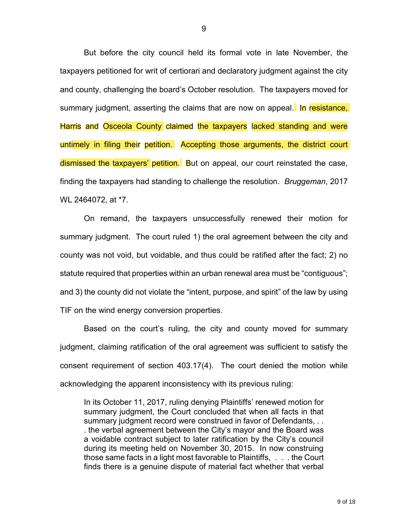But before the city council held its formal vote in late November, the taxpayers petitioned for writ of certiorari and declaratory judgment against the city and county, challenging the board's October resolution. The taxpayers moved for summary judgment, asserting the claims that are now on appeal. In resistance, Harris and Osceola County claimed the taxpayers lacked standing and were untimely in filing their petition. Accepting those arguments, the district court dismissed the taxpayers' petition. But on appeal, our court reinstated the case, finding the taxpayers had standing to challenge the resolution. *Bruggeman*, 2017 WL 2464072, at \*7.

On remand, the taxpayers unsuccessfully renewed their motion for summary judgment. The court ruled 1) the oral agreement between the city and county was not void, but voidable, and thus could be ratified after the fact; 2) no statute required that properties within an urban renewal area must be "contiguous"; and 3) the county did not violate the "intent, purpose, and spirit" of the law by using TIF on the wind energy conversion properties.

Based on the court's ruling, the city and county moved for summary judgment, claiming ratification of the oral agreement was sufficient to satisfy the consent requirement of section 403.17(4). The court denied the motion while acknowledging the apparent inconsistency with its previous ruling:

In its October 11, 2017, ruling denying Plaintiffs' renewed motion for summary judgment, the Court concluded that when all facts in that summary judgment record were construed in favor of Defendants, . . . the verbal agreement between the City's mayor and the Board was a voidable contract subject to later ratification by the City's council during its meeting held on November 30, 2015. In now construing those same facts in a light most favorable to Plaintiffs, . . . the Court finds there is a genuine dispute of material fact whether that verbal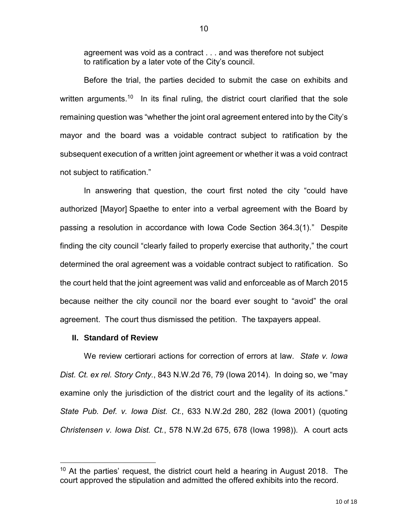agreement was void as a contract . . . and was therefore not subject to ratification by a later vote of the City's council.

Before the trial, the parties decided to submit the case on exhibits and written arguments. $^{\text{10}}$  In its final ruling, the district court clarified that the sole remaining question was "whether the joint oral agreement entered into by the City's mayor and the board was a voidable contract subject to ratification by the subsequent execution of a written joint agreement or whether it was a void contract not subject to ratification."

In answering that question, the court first noted the city "could have authorized [Mayor] Spaethe to enter into a verbal agreement with the Board by passing a resolution in accordance with Iowa Code Section 364.3(1)." Despite finding the city council "clearly failed to properly exercise that authority," the court determined the oral agreement was a voidable contract subject to ratification. So the court held that the joint agreement was valid and enforceable as of March 2015 because neither the city council nor the board ever sought to "avoid" the oral agreement. The court thus dismissed the petition. The taxpayers appeal.

### **II. Standard of Review**

 $\overline{a}$ 

We review certiorari actions for correction of errors at law. *State v. Iowa Dist. Ct. ex rel. Story Cnty.*, 843 N.W.2d 76, 79 (Iowa 2014). In doing so, we "may examine only the jurisdiction of the district court and the legality of its actions." *State Pub. Def. v. Iowa Dist. Ct.*, 633 N.W.2d 280, 282 (Iowa 2001) (quoting *Christensen v. Iowa Dist. Ct.*, 578 N.W.2d 675, 678 (Iowa 1998)). A court acts

 $10$  At the parties' request, the district court held a hearing in August 2018. The court approved the stipulation and admitted the offered exhibits into the record.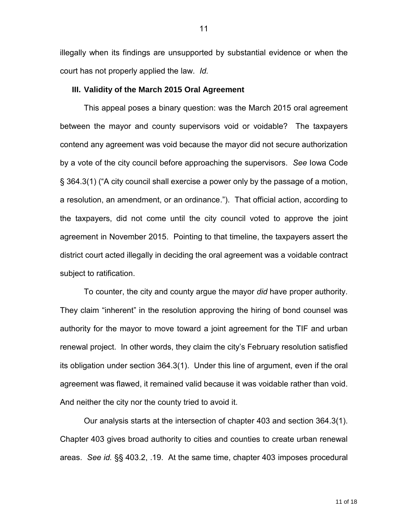illegally when its findings are unsupported by substantial evidence or when the court has not properly applied the law. *Id.* 

#### **III. Validity of the March 2015 Oral Agreement**

This appeal poses a binary question: was the March 2015 oral agreement between the mayor and county supervisors void or voidable? The taxpayers contend any agreement was void because the mayor did not secure authorization by a vote of the city council before approaching the supervisors. *See* Iowa Code § 364.3(1) ("A city council shall exercise a power only by the passage of a motion, a resolution, an amendment, or an ordinance."). That official action, according to the taxpayers, did not come until the city council voted to approve the joint agreement in November 2015. Pointing to that timeline, the taxpayers assert the district court acted illegally in deciding the oral agreement was a voidable contract subject to ratification.

To counter, the city and county argue the mayor *did* have proper authority. They claim "inherent" in the resolution approving the hiring of bond counsel was authority for the mayor to move toward a joint agreement for the TIF and urban renewal project. In other words, they claim the city's February resolution satisfied its obligation under section 364.3(1). Under this line of argument, even if the oral agreement was flawed, it remained valid because it was voidable rather than void. And neither the city nor the county tried to avoid it.

Our analysis starts at the intersection of chapter 403 and section 364.3(1). Chapter 403 gives broad authority to cities and counties to create urban renewal areas. *See id.* §§ 403.2, .19. At the same time, chapter 403 imposes procedural

11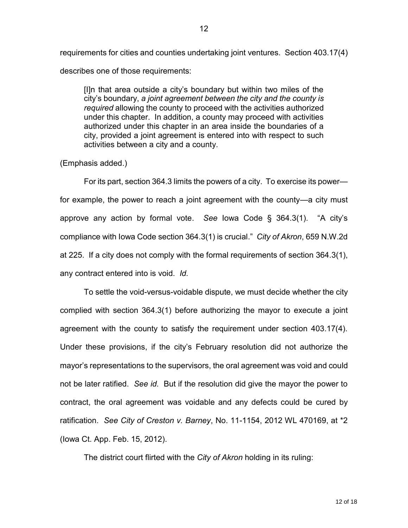requirements for cities and counties undertaking joint ventures. Section 403.17(4) describes one of those requirements:

[I]n that area outside a city's boundary but within two miles of the city's boundary, *a joint agreement between the city and the county is required* allowing the county to proceed with the activities authorized under this chapter. In addition, a county may proceed with activities authorized under this chapter in an area inside the boundaries of a city, provided a joint agreement is entered into with respect to such activities between a city and a county.

### (Emphasis added.)

For its part, section 364.3 limits the powers of a city. To exercise its power for example, the power to reach a joint agreement with the county—a city must approve any action by formal vote. *See* Iowa Code § 364.3(1). "A city's compliance with Iowa Code section 364.3(1) is crucial." *City of Akron*, 659 N.W.2d at 225. If a city does not comply with the formal requirements of section 364.3(1), any contract entered into is void. *Id.* 

To settle the void-versus-voidable dispute, we must decide whether the city complied with section 364.3(1) before authorizing the mayor to execute a joint agreement with the county to satisfy the requirement under section 403.17(4). Under these provisions, if the city's February resolution did not authorize the mayor's representations to the supervisors, the oral agreement was void and could not be later ratified. *See id.* But if the resolution did give the mayor the power to contract, the oral agreement was voidable and any defects could be cured by ratification. *See City of Creston v. Barney*, No. 11-1154, 2012 WL 470169, at \*2 (Iowa Ct. App. Feb. 15, 2012).

The district court flirted with the *City of Akron* holding in its ruling: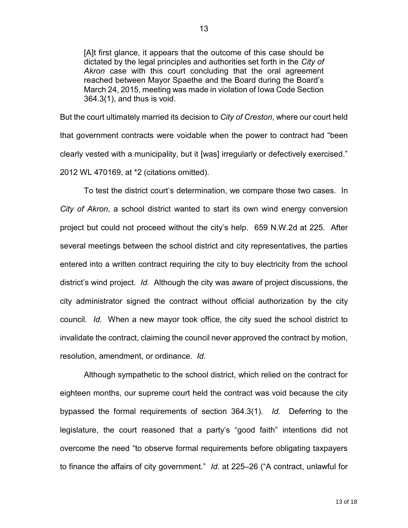[A]t first glance, it appears that the outcome of this case should be dictated by the legal principles and authorities set forth in the *City of Akron* case with this court concluding that the oral agreement reached between Mayor Spaethe and the Board during the Board's March 24, 2015, meeting was made in violation of Iowa Code Section 364.3(1), and thus is void.

But the court ultimately married its decision to *City of Creston*, where our court held that government contracts were voidable when the power to contract had "been clearly vested with a municipality, but it [was] irregularly or defectively exercised." 2012 WL 470169, at \*2 (citations omitted).

To test the district court's determination, we compare those two cases. In *City of Akron*, a school district wanted to start its own wind energy conversion project but could not proceed without the city's help. 659 N.W.2d at 225. After several meetings between the school district and city representatives, the parties entered into a written contract requiring the city to buy electricity from the school district's wind project. *Id.* Although the city was aware of project discussions, the city administrator signed the contract without official authorization by the city council. *Id.* When a new mayor took office, the city sued the school district to invalidate the contract, claiming the council never approved the contract by motion, resolution, amendment, or ordinance. *Id.* 

Although sympathetic to the school district, which relied on the contract for eighteen months, our supreme court held the contract was void because the city bypassed the formal requirements of section 364.3(1). *Id.* Deferring to the legislature, the court reasoned that a party's "good faith" intentions did not overcome the need "to observe formal requirements before obligating taxpayers to finance the affairs of city government." *Id.* at 225–26 ("A contract, unlawful for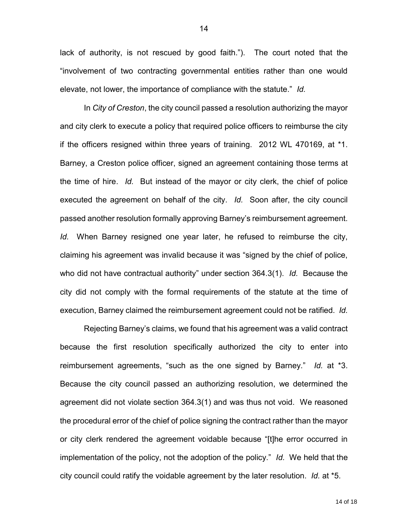lack of authority, is not rescued by good faith."). The court noted that the "involvement of two contracting governmental entities rather than one would elevate, not lower, the importance of compliance with the statute." *Id.* 

In *City of Creston*, the city council passed a resolution authorizing the mayor and city clerk to execute a policy that required police officers to reimburse the city if the officers resigned within three years of training. 2012 WL 470169, at \*1. Barney, a Creston police officer, signed an agreement containing those terms at the time of hire. *Id.* But instead of the mayor or city clerk, the chief of police executed the agreement on behalf of the city. *Id.* Soon after, the city council passed another resolution formally approving Barney's reimbursement agreement. *Id.* When Barney resigned one year later, he refused to reimburse the city, claiming his agreement was invalid because it was "signed by the chief of police, who did not have contractual authority" under section 364.3(1). *Id.* Because the city did not comply with the formal requirements of the statute at the time of execution, Barney claimed the reimbursement agreement could not be ratified. *Id.* 

Rejecting Barney's claims, we found that his agreement was a valid contract because the first resolution specifically authorized the city to enter into reimbursement agreements, "such as the one signed by Barney." *Id.* at \*3. Because the city council passed an authorizing resolution, we determined the agreement did not violate section 364.3(1) and was thus not void. We reasoned the procedural error of the chief of police signing the contract rather than the mayor or city clerk rendered the agreement voidable because "[t]he error occurred in implementation of the policy, not the adoption of the policy." *Id.* We held that the city council could ratify the voidable agreement by the later resolution. *Id.* at \*5.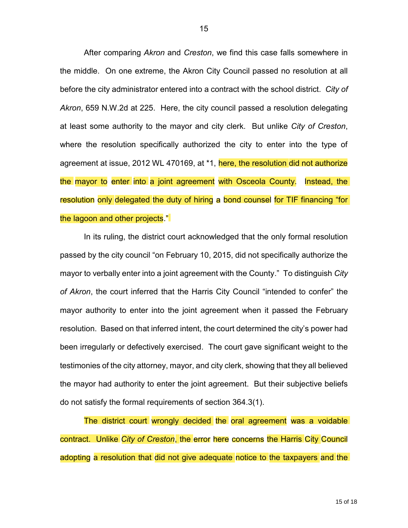After comparing *Akron* and *Creston*, we find this case falls somewhere in the middle. On one extreme, the Akron City Council passed no resolution at all before the city administrator entered into a contract with the school district. *City of Akron*, 659 N.W.2d at 225. Here, the city council passed a resolution delegating at least some authority to the mayor and city clerk. But unlike *City of Creston*, where the resolution specifically authorized the city to enter into the type of agreement at issue, 2012 WL 470169, at \*1, here, the resolution did not authorize the mayor to enter into a joint agreement with Osceola County. Instead, the resolution only delegated the duty of hiring a bond counsel for TIF financing "for the lagoon and other projects."

In its ruling, the district court acknowledged that the only formal resolution passed by the city council "on February 10, 2015, did not specifically authorize the mayor to verbally enter into a joint agreement with the County." To distinguish *City of Akron*, the court inferred that the Harris City Council "intended to confer" the mayor authority to enter into the joint agreement when it passed the February resolution. Based on that inferred intent, the court determined the city's power had been irregularly or defectively exercised. The court gave significant weight to the testimonies of the city attorney, mayor, and city clerk, showing that they all believed the mayor had authority to enter the joint agreement. But their subjective beliefs do not satisfy the formal requirements of section 364.3(1).

The district court wrongly decided the oral agreement was a voidable contract. Unlike *City of Creston*, the error here concerns the Harris City Council adopting a resolution that did not give adequate notice to the taxpayers and the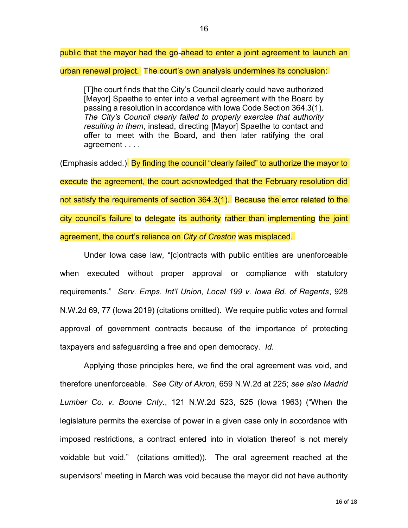public that the mayor had the go-ahead to enter a joint agreement to launch an

urban renewal project. The court's own analysis undermines its conclusion:

[T]he court finds that the City's Council clearly could have authorized [Mayor] Spaethe to enter into a verbal agreement with the Board by passing a resolution in accordance with Iowa Code Section 364.3(1). *The City's Council clearly failed to properly exercise that authority resulting in them*, instead, directing [Mayor] Spaethe to contact and offer to meet with the Board, and then later ratifying the oral agreement . . . .

(Emphasis added.) By finding the council "clearly failed" to authorize the mayor to execute the agreement, the court acknowledged that the February resolution did not satisfy the requirements of section 364.3(1). Because the error related to the city council's failure to delegate its authority rather than implementing the joint agreement, the court's reliance on *City of Creston* was misplaced.

Under Iowa case law, "[c]ontracts with public entities are unenforceable when executed without proper approval or compliance with statutory requirements." *Serv. Emps. Int'l Union, Local 199 v. Iowa Bd. of Regents*, 928 N.W.2d 69, 77 (Iowa 2019) (citations omitted). We require public votes and formal approval of government contracts because of the importance of protecting taxpayers and safeguarding a free and open democracy. *Id.* 

Applying those principles here, we find the oral agreement was void, and therefore unenforceable. *See City of Akron*, 659 N.W.2d at 225; *see also Madrid Lumber Co. v. Boone Cnty.*, 121 N.W.2d 523, 525 (Iowa 1963) ("When the legislature permits the exercise of power in a given case only in accordance with imposed restrictions, a contract entered into in violation thereof is not merely voidable but void." (citations omitted)). The oral agreement reached at the supervisors' meeting in March was void because the mayor did not have authority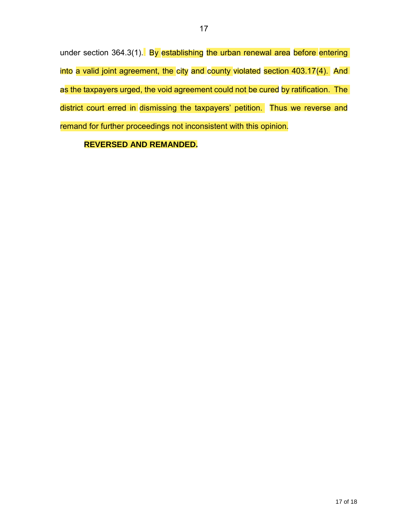under section 364.3(1). By establishing the urban renewal area before entering into a valid joint agreement, the city and county violated section 403.17(4). And as the taxpayers urged, the void agreement could not be cured by ratification. The district court erred in dismissing the taxpayers' petition. Thus we reverse and remand for further proceedings not inconsistent with this opinion.

# **REVERSED AND REMANDED.**